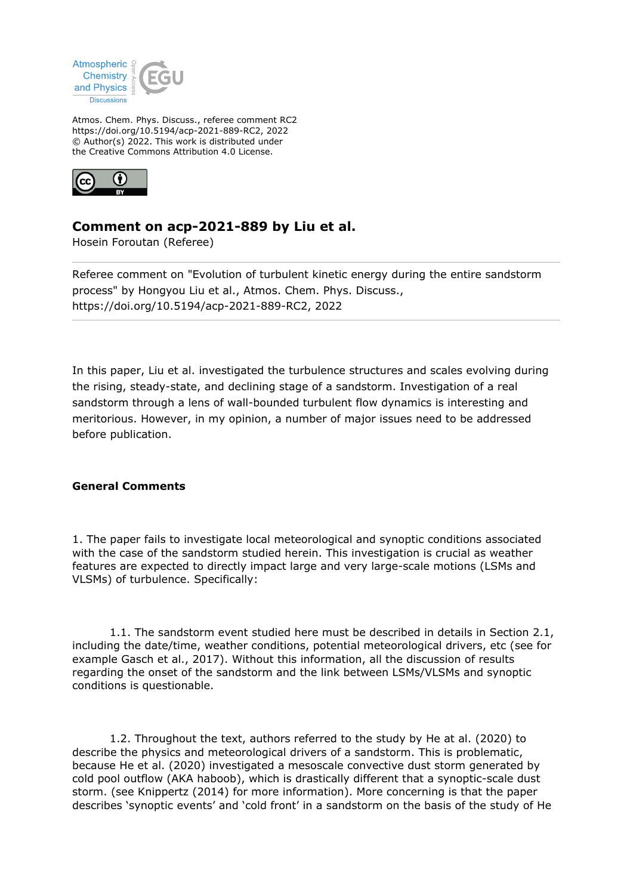

Atmos. Chem. Phys. Discuss., referee comment RC2 https://doi.org/10.5194/acp-2021-889-RC2, 2022 © Author(s) 2022. This work is distributed under the Creative Commons Attribution 4.0 License.



# **Comment on acp-2021-889 by Liu et al.**

Hosein Foroutan (Referee)

Referee comment on "Evolution of turbulent kinetic energy during the entire sandstorm process" by Hongyou Liu et al., Atmos. Chem. Phys. Discuss., https://doi.org/10.5194/acp-2021-889-RC2, 2022

In this paper, Liu et al. investigated the turbulence structures and scales evolving during the rising, steady-state, and declining stage of a sandstorm. Investigation of a real sandstorm through a lens of wall-bounded turbulent flow dynamics is interesting and meritorious. However, in my opinion, a number of major issues need to be addressed before publication.

# **General Comments**

1. The paper fails to investigate local meteorological and synoptic conditions associated with the case of the sandstorm studied herein. This investigation is crucial as weather features are expected to directly impact large and very large-scale motions (LSMs and VLSMs) of turbulence. Specifically:

 1.1. The sandstorm event studied here must be described in details in Section 2.1, including the date/time, weather conditions, potential meteorological drivers, etc (see for example Gasch et al., 2017). Without this information, all the discussion of results regarding the onset of the sandstorm and the link between LSMs/VLSMs and synoptic conditions is questionable.

 1.2. Throughout the text, authors referred to the study by He at al. (2020) to describe the physics and meteorological drivers of a sandstorm. This is problematic, because He et al. (2020) investigated a mesoscale convective dust storm generated by cold pool outflow (AKA haboob), which is drastically different that a synoptic-scale dust storm. (see Knippertz (2014) for more information). More concerning is that the paper describes 'synoptic events' and 'cold front' in a sandstorm on the basis of the study of He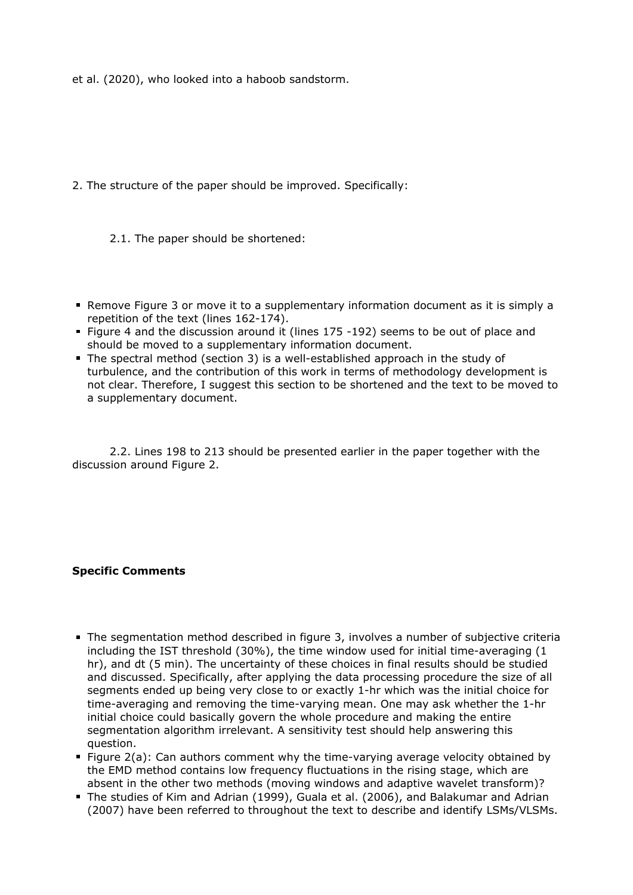et al. (2020), who looked into a haboob sandstorm.

- 2. The structure of the paper should be improved. Specifically:
	- 2.1. The paper should be shortened:
- Remove Figure 3 or move it to a supplementary information document as it is simply a repetition of the text (lines 162-174).
- Figure 4 and the discussion around it (lines 175 -192) seems to be out of place and should be moved to a supplementary information document.
- The spectral method (section 3) is a well-established approach in the study of turbulence, and the contribution of this work in terms of methodology development is not clear. Therefore, I suggest this section to be shortened and the text to be moved to a supplementary document.

 2.2. Lines 198 to 213 should be presented earlier in the paper together with the discussion around Figure 2.

### **Specific Comments**

- The segmentation method described in figure 3, involves a number of subjective criteria including the IST threshold (30%), the time window used for initial time-averaging (1 hr), and dt (5 min). The uncertainty of these choices in final results should be studied and discussed. Specifically, after applying the data processing procedure the size of all segments ended up being very close to or exactly 1-hr which was the initial choice for time-averaging and removing the time-varying mean. One may ask whether the 1-hr initial choice could basically govern the whole procedure and making the entire segmentation algorithm irrelevant. A sensitivity test should help answering this question.
- Figure 2(a): Can authors comment why the time-varying average velocity obtained by the EMD method contains low frequency fluctuations in the rising stage, which are absent in the other two methods (moving windows and adaptive wavelet transform)?
- The studies of Kim and Adrian (1999), Guala et al. (2006), and Balakumar and Adrian (2007) have been referred to throughout the text to describe and identify LSMs/VLSMs.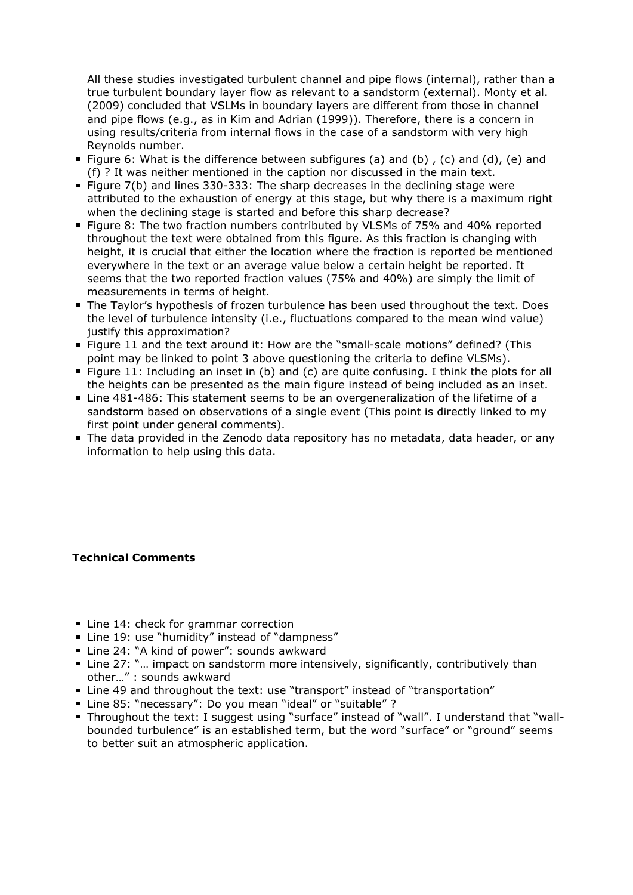All these studies investigated turbulent channel and pipe flows (internal), rather than a true turbulent boundary layer flow as relevant to a sandstorm (external). Monty et al. (2009) concluded that VSLMs in boundary layers are different from those in channel and pipe flows (e.g., as in Kim and Adrian (1999)). Therefore, there is a concern in using results/criteria from internal flows in the case of a sandstorm with very high Reynolds number.

- Figure 6: What is the difference between subfigures (a) and (b), (c) and (d), (e) and (f) ? It was neither mentioned in the caption nor discussed in the main text.
- Figure 7(b) and lines 330-333: The sharp decreases in the declining stage were attributed to the exhaustion of energy at this stage, but why there is a maximum right when the declining stage is started and before this sharp decrease?
- **Figure 8: The two fraction numbers contributed by VLSMs of 75% and 40% reported** throughout the text were obtained from this figure. As this fraction is changing with height, it is crucial that either the location where the fraction is reported be mentioned everywhere in the text or an average value below a certain height be reported. It seems that the two reported fraction values (75% and 40%) are simply the limit of measurements in terms of height.
- **The Taylor's hypothesis of frozen turbulence has been used throughout the text. Does** the level of turbulence intensity (i.e., fluctuations compared to the mean wind value) justify this approximation?
- Figure 11 and the text around it: How are the "small-scale motions" defined? (This point may be linked to point 3 above questioning the criteria to define VLSMs).
- Figure 11: Including an inset in (b) and (c) are quite confusing. I think the plots for all the heights can be presented as the main figure instead of being included as an inset.
- Line 481-486: This statement seems to be an overgeneralization of the lifetime of a sandstorm based on observations of a single event (This point is directly linked to my first point under general comments).
- The data provided in the Zenodo data repository has no metadata, data header, or any information to help using this data.

# **Technical Comments**

- **Line 14: check for grammar correction**
- Line 19: use "humidity" instead of "dampness"
- Line 24: "A kind of power": sounds awkward
- Line 27: "... impact on sandstorm more intensively, significantly, contributively than other…" : sounds awkward
- Line 49 and throughout the text: use "transport" instead of "transportation"
- Line 85: "necessary": Do you mean "ideal" or "suitable" ?
- Throughout the text: I suggest using "surface" instead of "wall". I understand that "wallbounded turbulence" is an established term, but the word "surface" or "ground" seems to better suit an atmospheric application.